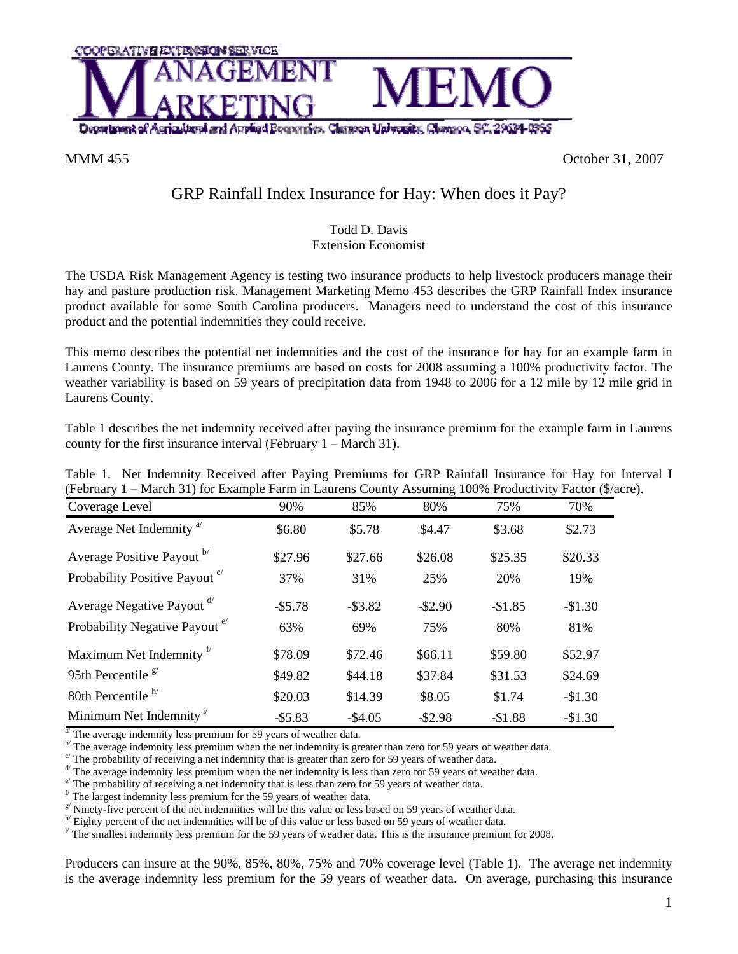

MMM 455 October 31, 2007

## GRP Rainfall Index Insurance for Hay: When does it Pay?

## Todd D. Davis Extension Economist

The USDA Risk Management Agency is testing two insurance products to help livestock producers manage their hay and pasture production risk. Management Marketing Memo 453 describes the GRP Rainfall Index insurance product available for some South Carolina producers. Managers need to understand the cost of this insurance product and the potential indemnities they could receive.

This memo describes the potential net indemnities and the cost of the insurance for hay for an example farm in Laurens County. The insurance premiums are based on costs for 2008 assuming a 100% productivity factor. The weather variability is based on 59 years of precipitation data from 1948 to 2006 for a 12 mile by 12 mile grid in Laurens County.

Table 1 describes the net indemnity received after paying the insurance premium for the example farm in Laurens county for the first insurance interval (February 1 – March 31).

| Table 1. Net Indemnity Received after Paying Premiums for GRP Rainfall Insurance for Hay for Interval I |     |     |        |      |     |  |
|---------------------------------------------------------------------------------------------------------|-----|-----|--------|------|-----|--|
| (February 1 – March 31) for Example Farm in Laurens County Assuming 100% Productivity Factor (\$/acre). |     |     |        |      |     |  |
| Coverage Level                                                                                          | 00% | 85% | $80\%$ | 750% | 70% |  |

| Coverage Level                                  | 90%        | 85%        | 80%        | 75%      | 70%      |
|-------------------------------------------------|------------|------------|------------|----------|----------|
| Average Net Indemnity <sup>a</sup>              | \$6.80     | \$5.78     | \$4.47     | \$3.68   | \$2.73   |
| Average Positive Payout b/                      | \$27.96    | \$27.66    | \$26.08    | \$25.35  | \$20.33  |
| Probability Positive Payout <sup>c</sup>        | 37%        | 31%        | 25%        | 20%      | 19%      |
| Average Negative Payout d'                      | $-$ \$5.78 | $-$ \$3.82 | $-$ \$2.90 | $-$1.85$ | $-$1.30$ |
| Probability Negative Payout <sup>e/</sup>       | 63%        | 69%        | 75%        | 80%      | 81%      |
| Maximum Net Indemnity <sup>f</sup>              | \$78.09    | \$72.46    | \$66.11    | \$59.80  | \$52.97  |
| 95th Percentile $\frac{g}{g}$                   | \$49.82    | \$44.18    | \$37.84    | \$31.53  | \$24.69  |
| 80th Percentile $h$                             | \$20.03    | \$14.39    | \$8.05     | \$1.74   | $-$1.30$ |
| Minimum Net Indemnity <sup><math>V</math></sup> | $-$ \$5.83 | $-$ \$4.05 | $-$ \$2.98 | $-$1.88$ | $-$1.30$ |

The average indemnity less premium for 59 years of weather data.<br>
<sup>b</sup> The average indemnity less premium when the net indemnity is greater than zero for 59 years of weather data.<br>
c' The probability of receiving a net ind

<sup>e</sup> The probability of receiving a net indemnity that is less than zero for 59 years of weather data.  $\frac{f}{f}$  The largest indemnity less premium for the 59 years of weather data.

 $g$ <sup>y</sup> Ninety-five percent of the net indemnities will be this value or less based on 59 years of weather data.

Eighty percent of the net indemnities will be of this value or less based on 59 years of weather data.

 $\mu$ <sup>T</sup> The smallest indemnity less premium for the 59 years of weather data. This is the insurance premium for 2008.

Producers can insure at the 90%, 85%, 80%, 75% and 70% coverage level (Table 1). The average net indemnity is the average indemnity less premium for the 59 years of weather data. On average, purchasing this insurance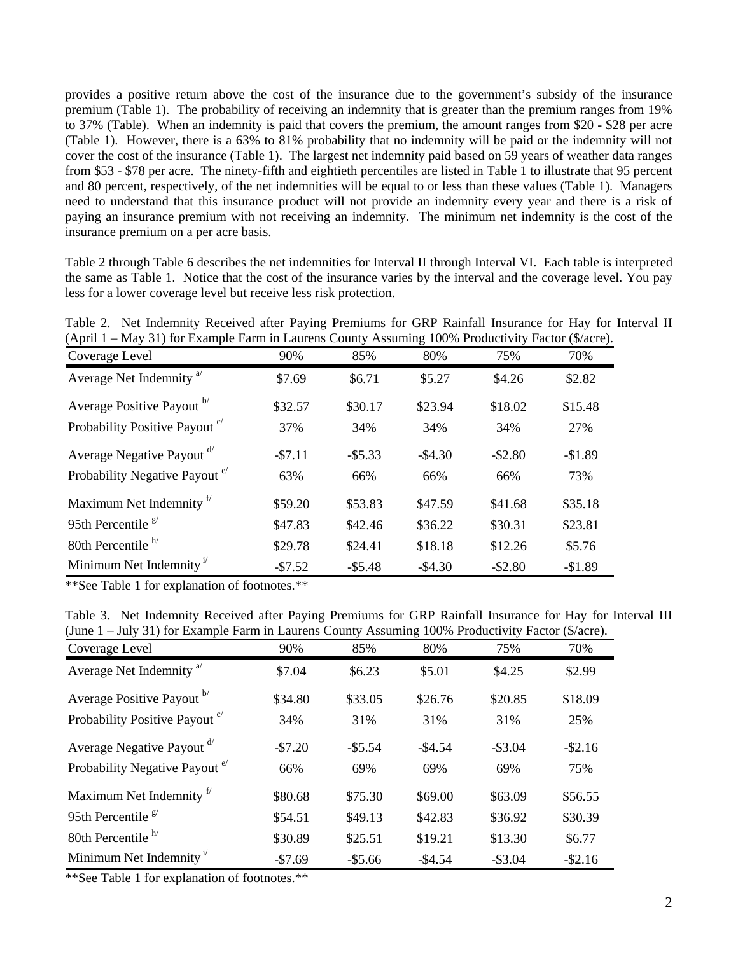provides a positive return above the cost of the insurance due to the government's subsidy of the insurance premium (Table 1). The probability of receiving an indemnity that is greater than the premium ranges from 19% to 37% (Table). When an indemnity is paid that covers the premium, the amount ranges from \$20 - \$28 per acre (Table 1). However, there is a 63% to 81% probability that no indemnity will be paid or the indemnity will not cover the cost of the insurance (Table 1). The largest net indemnity paid based on 59 years of weather data ranges from \$53 - \$78 per acre. The ninety-fifth and eightieth percentiles are listed in Table 1 to illustrate that 95 percent and 80 percent, respectively, of the net indemnities will be equal to or less than these values (Table 1). Managers need to understand that this insurance product will not provide an indemnity every year and there is a risk of paying an insurance premium with not receiving an indemnity. The minimum net indemnity is the cost of the insurance premium on a per acre basis.

Table 2 through Table 6 describes the net indemnities for Interval II through Interval VI. Each table is interpreted the same as Table 1. Notice that the cost of the insurance varies by the interval and the coverage level. You pay less for a lower coverage level but receive less risk protection.

| Table 2. Net Indemnity Received after Paying Premiums for GRP Rainfall Insurance for Hay for Interval II |  |  |  |  |  |
|----------------------------------------------------------------------------------------------------------|--|--|--|--|--|
| (April $1 - May 31$ ) for Example Farm in Laurens County Assuming 100% Productivity Factor (\$/acre).    |  |  |  |  |  |

| $\alpha$ -pin $\alpha$ -narry $\beta$ is a manipier<br>Coverage Level | 90%      | 85%        | 80%        | 75%        | (4.4.44)<br>70% |
|-----------------------------------------------------------------------|----------|------------|------------|------------|-----------------|
| Average Net Indemnity <sup>a</sup>                                    | \$7.69   | \$6.71     | \$5.27     | \$4.26     | \$2.82          |
| Average Positive Payout b                                             | \$32.57  | \$30.17    | \$23.94    | \$18.02    | \$15.48         |
| Probability Positive Payout <sup>c</sup>                              | 37%      | 34%        | 34%        | 34%        | 27%             |
| Average Negative Payout d'                                            | $-57.11$ | $-$ \$5.33 | $-$ \$4.30 | $-$ \$2.80 | $-$1.89$        |
| Probability Negative Payout <sup>e/</sup>                             | 63%      | 66%        | 66%        | 66%        | 73%             |
| Maximum Net Indemnity <sup>f</sup>                                    | \$59.20  | \$53.83    | \$47.59    | \$41.68    | \$35.18         |
| 95th Percentile $\frac{g}{g}$                                         | \$47.83  | \$42.46    | \$36.22    | \$30.31    | \$23.81         |
| 80th Percentile <sup>h/</sup>                                         | \$29.78  | \$24.41    | \$18.18    | \$12.26    | \$5.76          |
| Minimum Net Indemnity <sup><math>1</math></sup>                       | $-57.52$ | $-$5.48$   | $-$ \$4.30 | $-$ \$2.80 | $-$1.89$        |

\*\*See Table 1 for explanation of footnotes.\*\*

|  | Table 3. Net Indemnity Received after Paying Premiums for GRP Rainfall Insurance for Hay for Interval III |  |  |  |  |  |  |  |
|--|-----------------------------------------------------------------------------------------------------------|--|--|--|--|--|--|--|
|  | (June 1 – July 31) for Example Farm in Laurens County Assuming 100% Productivity Factor (\$/acre).        |  |  |  |  |  |  |  |

| Coverage Level                                     | 90%      | 85%        | 80%        | 75%        | 70%        |
|----------------------------------------------------|----------|------------|------------|------------|------------|
| Average Net Indemnity <sup>a</sup>                 | \$7.04   | \$6.23     | \$5.01     | \$4.25     | \$2.99     |
| Average Positive Payout b                          | \$34.80  | \$33.05    | \$26.76    | \$20.85    | \$18.09    |
| Probability Positive Payout <sup>c</sup>           | 34%      | 31%        | 31%        | 31%        | 25%        |
| Average Negative Payout d'                         | $-57.20$ | $-$ \$5.54 | $-$ \$4.54 | $-$ \$3.04 | $-$ \$2.16 |
| Probability Negative Payout <sup>e</sup>           | 66%      | 69%        | 69%        | 69%        | 75%        |
| Maximum Net Indemnity <sup>f</sup>                 | \$80.68  | \$75.30    | \$69.00    | \$63.09    | \$56.55    |
| 95th Percentile $\frac{g}{g}$                      | \$54.51  | \$49.13    | \$42.83    | \$36.92    | \$30.39    |
| 80th Percentile $h$ <sup><math>\prime</math></sup> | \$30.89  | \$25.51    | \$19.21    | \$13.30    | \$6.77     |
| Minimum Net Indemnity <sup><math>1</math></sup>    | $-$7.69$ | $-$ \$5.66 | $-$4.54$   | $-$ \$3.04 | $-$ \$2.16 |

\*\*See Table 1 for explanation of footnotes.\*\*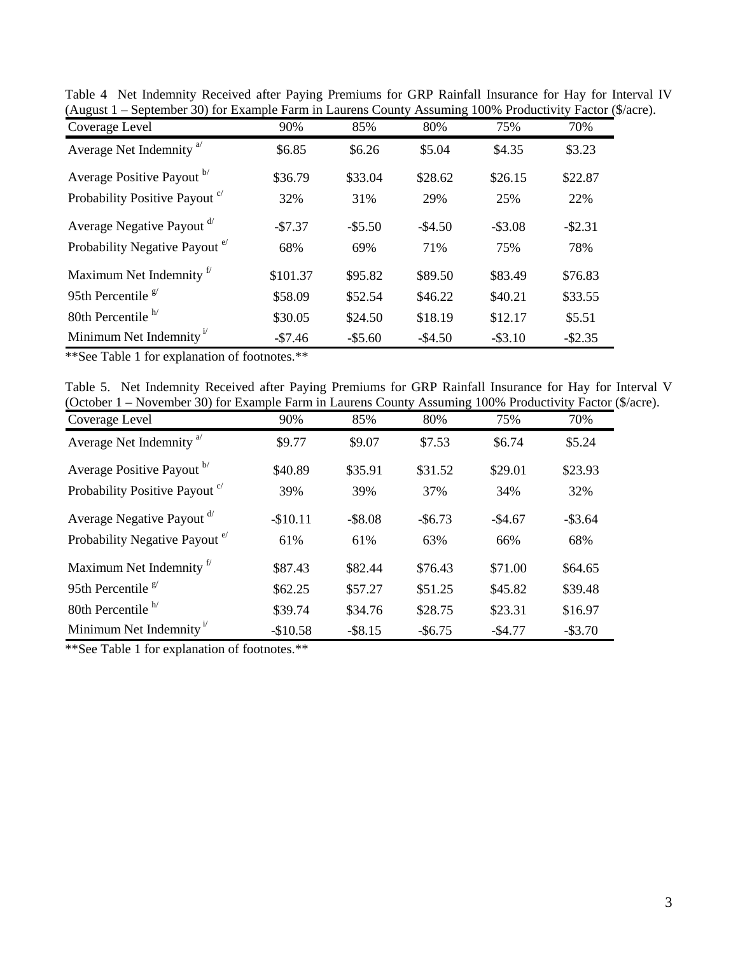| Coverage Level                                  | 90%      | 85%        | 80%      | 75%        | 70%        |
|-------------------------------------------------|----------|------------|----------|------------|------------|
| Average Net Indemnity <sup>a</sup>              | \$6.85   | \$6.26     | \$5.04   | \$4.35     | \$3.23     |
| Average Positive Payout b                       | \$36.79  | \$33.04    | \$28.62  | \$26.15    | \$22.87    |
| Probability Positive Payout <sup>c</sup>        | 32%      | 31%        | 29%      | 25%        | 22%        |
| Average Negative Payout d'                      | $-$7.37$ | $-$ \$5.50 | $-$4.50$ | $-$ \$3.08 | $-$ \$2.31 |
| Probability Negative Payout <sup>e</sup>        | 68%      | 69%        | 71%      | 75%        | 78%        |
| Maximum Net Indemnity <sup>f</sup>              | \$101.37 | \$95.82    | \$89.50  | \$83.49    | \$76.83    |
| 95th Percentile $\frac{g}{g}$                   | \$58.09  | \$52.54    | \$46.22  | \$40.21    | \$33.55    |
| 80th Percentile <sup>h/</sup>                   | \$30.05  | \$24.50    | \$18.19  | \$12.17    | \$5.51     |
| Minimum Net Indemnity <sup><math>1</math></sup> | $-$7.46$ | $-$ \$5.60 | $-$4.50$ | $-$ \$3.10 | $-$ \$2.35 |

Table 4 Net Indemnity Received after Paying Premiums for GRP Rainfall Insurance for Hay for Interval IV (August 1 – September 30) for Example Farm in Laurens County Assuming 100% Productivity Factor (\$/acre).

\*\*See Table 1 for explanation of footnotes.\*\*

| Table 5. Net Indemnity Received after Paying Premiums for GRP Rainfall Insurance for Hay for Interval V   |  |  |  |  |  |
|-----------------------------------------------------------------------------------------------------------|--|--|--|--|--|
| (October 1 – November 30) for Example Farm in Laurens County Assuming 100% Productivity Factor (\$/acre). |  |  |  |  |  |

| Coverage Level                                | 90%       | 85%        | 80%        | 75%      | 70%        |
|-----------------------------------------------|-----------|------------|------------|----------|------------|
| Average Net Indemnity <sup>a</sup>            | \$9.77    | \$9.07     | \$7.53     | \$6.74   | \$5.24     |
| Average Positive Payout b                     | \$40.89   | \$35.91    | \$31.52    | \$29.01  | \$23.93    |
| Probability Positive Payout <sup>c</sup>      | 39%       | 39%        | 37%        | 34%      | 32%        |
| Average Negative Payout <sup>d/</sup>         | $-$10.11$ | $-$ \$8.08 | $-$ \$6.73 | $-$4.67$ | $-$ \$3.64 |
| Probability Negative Payout <sup>e/</sup>     | 61%       | 61%        | 63%        | 66%      | 68%        |
| Maximum Net Indemnity <sup>f</sup>            | \$87.43   | \$82.44    | \$76.43    | \$71.00  | \$64.65    |
| 95th Percentile $\frac{g}{g}$                 | \$62.25   | \$57.27    | \$51.25    | \$45.82  | \$39.48    |
| 80th Percentile $h$ <sup><math>h</math></sup> | \$39.74   | \$34.76    | \$28.75    | \$23.31  | \$16.97    |
| Minimum Net Indemnity <sup>1</sup>            | $-$10.58$ | $-$ \$8.15 | $-$ \$6.75 | $-$4.77$ | $-$ \$3.70 |

\*\*See Table 1 for explanation of footnotes.\*\*